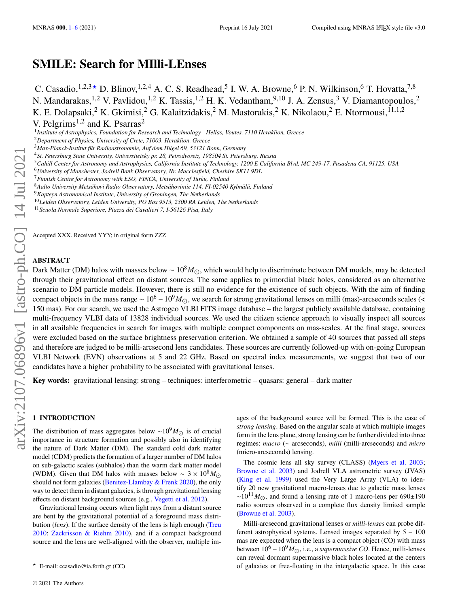# **SMILE: Search for MIlli-LEnses**

C. Casadio,<sup>1,2,3</sup>  $\star$  D. Blinov,<sup>1,2,4</sup> A. C. S. Readhead,<sup>5</sup> I. W. A. Browne,<sup>6</sup> P. N. Wilkinson,<sup>6</sup> T. Hovatta,<sup>7,8</sup> N. Mandarakas,<sup>1,2</sup> V. Pavlidou,<sup>1,2</sup> K. Tassis,<sup>1,2</sup> H. K. Vedantham,<sup>9,10</sup> J. A. Zensus,<sup>3</sup> V. Diamantopoulos,<sup>2</sup> K. E. Dolapsaki,  $^2$  K. Gkimisi,  $^2$  G. Kalaitzidakis,  $^2$  M. Mastorakis,  $^2$  K. Nikolaou,  $^2$  E. Ntormousi,  $^{11,1,2}$ V. Pelgrims<sup>1,2</sup> and K. Psarras<sup>2</sup>

1 *Institute of Astrophysics, Foundation for Research and Technology - Hellas, Voutes, 7110 Heraklion, Greece*

- <sup>5</sup>*Cahill Center for Astronomy and Astrophysics, California Institute of Technology, 1200 E California Blvd, MC 249-17, Pasadena CA, 91125, USA*
- <sup>6</sup>*University of Manchester, Jodrell Bank Observatory, Nr. Macclesfield, Cheshire SK11 9DL*
- <sup>7</sup>*Finnish Centre for Astronomy with ESO, FINCA, University of Turku, Finland*
- <sup>8</sup>*Aalto University Metsähovi Radio Observatory, Metsähovintie 114, FI-02540 Kylmälä, Finland*
- <sup>9</sup>*Kapteyn Astronomical Institute, University of Groningen, The Netherlands*

<sup>10</sup>*Leiden Observatory, Leiden University, PO Box 9513, 2300 RA Leiden, The Netherlands*

<sup>11</sup>*Scuola Normale Superiore, Piazza dei Cavalieri 7, I-56126 Pisa, Italy*

Accepted XXX. Received YYY; in original form ZZZ

### **ABSTRACT**

Dark Matter (DM) halos with masses below ~  $10^8 M_{\odot}$ , which would help to discriminate between DM models, may be detected through their gravitational effect on distant sources. The same applies to primordial black holes, considered as an alternative scenario to DM particle models. However, there is still no evidence for the existence of such objects. With the aim of finding compact objects in the mass range ~  $10^6 - 10^9 M_{\odot}$ , we search for strong gravitational lenses on milli (mas)-arcseconds scales (< 150 mas). For our search, we used the Astrogeo VLBI FITS image database – the largest publicly available database, containing multi-frequency VLBI data of 13828 individual sources. We used the citizen science approach to visually inspect all sources in all available frequencies in search for images with multiple compact components on mas-scales. At the final stage, sources were excluded based on the surface brightness preservation criterion. We obtained a sample of 40 sources that passed all steps and therefore are judged to be milli-arcsecond lens candidates. These sources are currently followed-up with on-going European VLBI Network (EVN) observations at 5 and 22 GHz. Based on spectral index measurements, we suggest that two of our candidates have a higher probability to be associated with gravitational lenses.

**Key words:** gravitational lensing: strong – techniques: interferometric – quasars: general – dark matter

### <span id="page-0-0"></span>**1 INTRODUCTION**

The distribution of mass aggregates below ~10<sup>9</sup> $M_{\odot}$  is of crucial importance in structure formation and possibly also in identifying the nature of Dark Matter (DM). The standard cold dark matter model (CDM) predicts the formation of a larger number of DM halos on sub-galactic scales (subhalos) than the warm dark matter model (WDM). Given that DM halos with masses below ~  $3 \times 10^8 M_{\odot}$ should not form galaxies [\(Benitez-Llambay & Frenk](#page-4-0) [2020\)](#page-4-0), the only way to detect them in distant galaxies, is through gravitational lensing effects on distant background sources (e.g., [Vegetti et al.](#page-5-0) [2012\)](#page-5-0).

Gravitational lensing occurs when light rays from a distant source are bent by the gravitational potential of a foreground mass distribution (*lens*). If the surface density of the lens is high enough [\(Treu](#page-5-1) [2010;](#page-5-1) [Zackrisson & Riehm](#page-5-2) [2010\)](#page-5-2), and if a compact background source and the lens are well-aligned with the observer, multiple images of the background source will be formed. This is the case of *strong lensing*. Based on the angular scale at which multiple images form in the lens plane, strong lensing can be further divided into three regimes: *macro* (∼ arcseconds), *milli* (milli-arcseconds) and *micro* (micro-arcseconds) lensing.

The cosmic lens all sky survey (CLASS) [\(Myers et al.](#page-4-1) [2003;](#page-4-1) [Browne et al.](#page-4-2) [2003\)](#page-4-2) and Jodrell VLA astrometric survey (JVAS) [\(King et al.](#page-4-3) [1999\)](#page-4-3) used the Very Large Array (VLA) to identify 20 new gravitational macro-lenses due to galactic mass lenses  $\sim 10^{11} M_{\odot}$ , and found a lensing rate of 1 macro-lens per 690±190 radio sources observed in a complete flux density limited sample [\(Browne et al.](#page-4-2) [2003\)](#page-4-2).

Milli-arcsecond gravitational lenses or *milli-lenses* can probe different astrophysical systems. Lensed images separated by 5 – 100 mas are expected when the lens is a compact object (CO) with mass between  $10^6 - 10^9 M_{\odot}$ , i.e., a *supermassive CO*. Hence, milli-lenses can reveal dormant supermassive black holes located at the centers of galaxies or free-floating in the intergalactic space. In this case

<sup>2</sup>*Department of Physics, University of Crete, 71003, Heraklion, Greece*

<sup>3</sup>*Max-Planck-Institut für Radioastronomie, Auf dem Hügel 69, 53121 Bonn, Germany*

<sup>4</sup>*St. Petersburg State University, Universitetsky pr. 28, Petrodvoretz, 198504 St. Petersburg, Russia*

 $\star$  E-mail: ccasadio@ia.forth.gr (CC)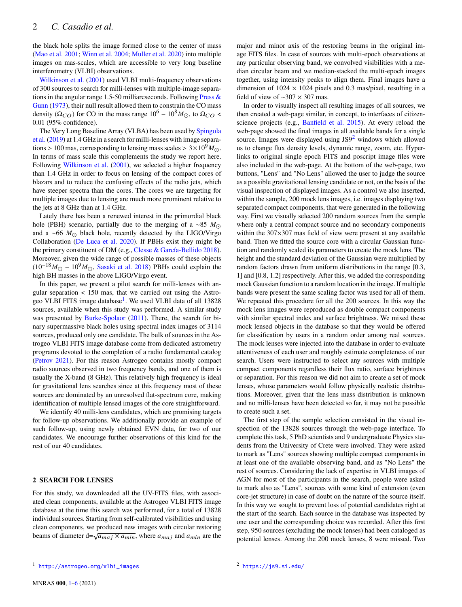the black hole splits the image formed close to the center of mass [\(Mao et al.](#page-4-4) [2001;](#page-4-4) [Winn et al.](#page-5-3) [2004;](#page-5-3) [Muller et al.](#page-4-5) [2020\)](#page-4-5) into multiple images on mas-scales, which are accessible to very long baseline interferometry (VLBI) observations.

[Wilkinson et al.](#page-5-4) [\(2001\)](#page-5-4) used VLBI multi-frequency observations of 300 sources to search for milli-lenses with multiple-image separations in the angular range 1.5-50 milliarcseconds. Following Press  $\&$ [Gunn](#page-4-6) [\(1973\)](#page-4-6), their null result allowed them to constrain the CO mass density ( $\Omega_{CO}$ ) for CO in the mass range  $10^6 - 10^8 M_{\odot}$ , to  $\Omega_{CO}$  < 0.01 (95% confidence).

The Very Long Baseline Array (VLBA) has been used by [Spingola](#page-4-7) [et al.](#page-4-7) [\(2019\)](#page-4-7) at 1.4 GHz in a search for milli-lenses with image separations > 100 mas, corresponding to lensing mass scales >  $3 \times 10^9 M_{\odot}$ . In terms of mass scale this complements the study we report here. Following [Wilkinson et al.](#page-5-4) [\(2001\)](#page-5-4), we selected a higher frequency than 1.4 GHz in order to focus on lensing of the compact cores of blazars and to reduce the confusing effects of the radio jets, which have steeper spectra than the cores. The cores we are targeting for multiple images due to lensing are much more prominent relative to the jets at 8 GHz than at 1.4 GHz.

Lately there has been a renewed interest in the primordial black hole (PBH) scenario, partially due to the merging of a ∼85  $M_{\odot}$ and a ~66  $M_{\odot}$  black hole, recently detected by the LIGO/Virgo Collaboration [\(De Luca et al.](#page-4-8) [2020\)](#page-4-8). If PBHs exist they might be the primary constituent of DM (e.g., [Clesse & García-Bellido](#page-4-9) [2018\)](#page-4-9). Moreover, given the wide range of possible masses of these objects  $(10^{-18}M_{\odot} - 10^{9}M_{\odot})$ , [Sasaki et al.](#page-4-10) [2018\)](#page-4-10) PBHs could explain the high BH masses in the above LIGO/Virgo event.

In this paper, we present a pilot search for milli-lenses with angular separation < 150 mas, that we carried out using the Astro-geo VLBI FITS image database<sup>[1](#page-1-0)</sup>. We used VLBI data of all 13828 sources, available when this study was performed. A similar study was presented by [Burke-Spolaor](#page-4-11) [\(2011\)](#page-4-11). There, the search for binary supermassive black holes using spectral index images of 3114 sources, produced only one candidate. The bulk of sources in the Astrogeo VLBI FITS image database come from dedicated astrometry programs devoted to the completion of a radio fundamental catalog [\(Petrov](#page-4-12) [2021\)](#page-4-12). For this reason Astrogeo contains mostly compact radio sources observed in two frequency bands, and one of them is usually the X-band (8 GHz). This relatively high frequency is ideal for gravitational lens searches since at this frequency most of these sources are dominated by an unresolved flat-spectrum core, making identification of multiple lensed images of the core straightforward.

We identify 40 milli-lens candidates, which are promising targets for follow-up observations. We additionally provide an example of such follow-up, using newly obtained EVN data, for two of our candidates. We encourage further observations of this kind for the rest of our 40 candidates.

## **2 SEARCH FOR LENSES**

<span id="page-1-0"></span>For this study, we downloaded all the UV-FITS files, with associated clean components, available at the Astrogeo VLBI FITS image database at the time this search was performed, for a total of 13828 individual sources. Starting from self-calibrated visibilities and using clean components, we produced new images with circular restoring beams of diameter d= $\sqrt{a_{maj} \times a_{min}}$ , where  $a_{maj}$  and  $a_{min}$  are the major and minor axis of the restoring beams in the original image FITS files. In case of sources with multi-epoch observations at any particular observing band, we convolved visibilities with a median circular beam and we median-stacked the multi-epoch images together, using intensity peaks to align them. Final images have a dimension of  $1024 \times 1024$  pixels and 0.3 mas/pixel, resulting in a field of view of ∼307 × 307 mas.

In order to visually inspect all resulting images of all sources, we then created a web-page similar, in concept, to interfaces of citizenscience projects (e.g., [Banfield et al.](#page-4-13) [2015\)](#page-4-13). At every reload the web-page showed the final images in all available bands for a single source. Images were displayed using  $JSS<sup>2</sup>$  $JSS<sup>2</sup>$  $JSS<sup>2</sup>$  windows which allowed us to change flux density levels, dynamic range, zoom, etc. Hyperlinks to original single epoch FITS and poscript image files were also included in the web-page. At the bottom of the web-page, two buttons, "Lens" and "No Lens" allowed the user to judge the source as a possible gravitational lensing candidate or not, on the basis of the visual inspection of displayed images. As a control we also inserted, within the sample, 200 mock lens images, i.e. images displaying two separated compact components, that were generated in the following way. First we visually selected 200 random sources from the sample where only a central compact source and no secondary components within the 307×307 mas field of view were present at any available band. Then we fitted the source core with a circular Gaussian function and randomly scaled its parameters to create the mock lens. The height and the standard deviation of the Gaussian were multiplied by random factors drawn from uniform distributions in the range [0.3, 1] and [0.8, 1.2] respectively. After this, we added the corresponding mock Gaussian function to a random location in the image. If multiple bands were present the same scaling factor was used for all of them. We repeated this procedure for all the 200 sources. In this way the mock lens images were reproduced as double compact components with similar spectral index and surface brightness. We mixed these mock lensed objects in the database so that they would be offered for classification by users in a random order among real sources. The mock lenses were injected into the database in order to evaluate attentiveness of each user and roughly estimate completeness of our search. Users were instructed to select any sources with multiple compact components regardless their flux ratio, surface brightness or separation. For this reason we did not aim to create a set of mock lenses, whose parameters would follow physically realistic distributions. Moreover, given that the lens mass distribution is unknown and no milli-lenses have been detected so far, it may not be possible to create such a set.

<span id="page-1-1"></span>The first step of the sample selection consisted in the visual inspection of the 13828 sources through the web-page interface. To complete this task, 5 PhD scientists and 9 undergraduate Physics students from the University of Crete were involved. They were asked to mark as "Lens" sources showing multiple compact components in at least one of the available observing band, and as "No Lens" the rest of sources. Considering the lack of expertise in VLBI images of AGN for most of the participants in the search, people were asked to mark also as "Lens", sources with some kind of extension (even core-jet structure) in case of doubt on the nature of the source itself. In this way we sought to prevent loss of potential candidates right at the start of the search. Each source in the database was inspected by one user and the corresponding choice was recorded. After this first step, 950 sources (excluding the mock lenses) had been cataloged as potential lenses. Among the 200 mock lenses, 8 were missed. Two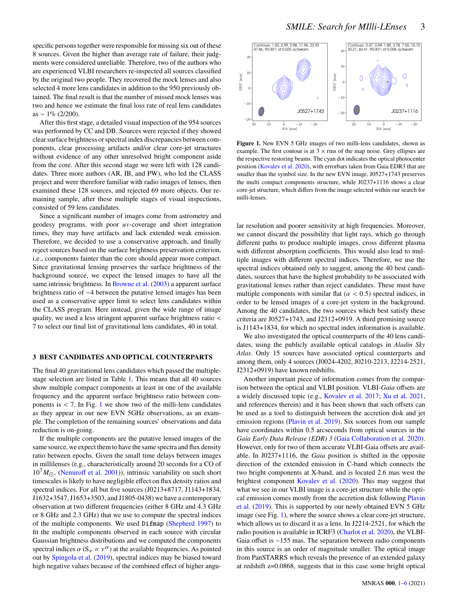specific persons together were responsible for missing six out of these 8 sources. Given the higher than average rate of failure, their judgments were considered unreliable. Therefore, two of the authors who are experienced VLBI researchers re-inspected all sources classified by the original two people. They recovered the mock lenses and also selected 4 more lens candidates in addition to the 950 previously obtained. The final result is that the number of missed mock lenses was two and hence we estimate the final loss rate of real lens candidates as ~ 1% (2/200).

After this first stage, a detailed visual inspection of the 954 sources was performed by CC and DB. Sources were rejected if they showed clear surface brightness or spectral index discrepancies between components, clear processing artifacts and/or clear core-jet structures without evidence of any other unresolved bright component aside from the core. After this second stage we were left with 128 candidates. Three more authors (AR, IB, and PW), who led the CLASS project and were therefore familiar with radio images of lenses, then examined these 128 sources, and rejected 69 more objects. Our remaining sample, after these multiple stages of visual inspections, consisted of 59 lens candidates.

Since a significant number of images come from astrometry and geodesy programs, with poor  $uv$ -coverage and short integration times, they may have artifacts and lack extended weak emission. Therefore, we decided to use a conservative approach, and finally reject sources based on the surface brightness preservation criterion, i.e., components fainter than the core should appear more compact. Since gravitational lensing preserves the surface brightness of the background source, we expect the lensed images to have all the same intrinsic brightness. In [Browne et al.](#page-4-2) [\(2003\)](#page-4-2) a apparent surface brightness ratio of ∼4 between the putative lensed images has been used as a conservative upper limit to select lens candidates within the CLASS program. Here instead, given the wide range of image quality, we used a less stringent apparent surface brightness ratio < 7 to select our final list of gravitational lens candidates, 40 in total.

#### **3 BEST CANDIDATES AND OPTICAL COUNTERPARTS**

The final 40 gravitational lens candidates which passed the multiplestage selection are listed in Table [1.](#page-3-1) This means that all 40 sources show multiple compact components at least in one of the available frequency and the apparent surface brightness ratio between components is  $< 7$ . In Fig. [1](#page-2-0) we show two of the milli-lens candidates as they appear in our new EVN 5GHz observations, as an example. The completion of the remaining sources' observations and data reduction is on-going.

If the multiple components are the putative lensed images of the same source, we expect them to have the same spectra and flux density ratio between epochs. Given the small time delays between images in millilenses (e.g., characteristically around 20 seconds for a CO of  $10^{7} M_{\odot}$ , [\(Nemiroff et al.](#page-4-14) [2001\)](#page-4-14)), intrinsic variability on such short timescales is likely to have negligible effect on flux density ratios and spectral indices. For all but five sources (J0213+8717, J1143+1834, J1632+3547, J1653+3503, and J1805-0438) we have a contemporary observation at two different frequencies (either 8 GHz and 4.3 GHz or 8 GHz and 2.3 GHz) that we use to compute the spectral indices of the multiple components. We used Difmap [\(Shepherd](#page-4-15) [1997\)](#page-4-15) to fit the multiple components observed in each source with circular Gaussian brightness distributions and we computed the components spectral indices  $\alpha$  (S<sub>v</sub>  $\propto$  v<sup> $\alpha$ </sup>) at the available frequencies. As pointed out by [Spingola et al.](#page-4-7) [\(2019\)](#page-4-7), spectral indices may be biased toward high negative values because of the combined effect of higher angu-



<span id="page-2-0"></span>Figure 1. New EVN 5 GHz images of two milli-lens candidates, shown as example. The first contour is at  $3 \times$  rms of the map noise. Grey ellipses are the respective restoring beams. The cyan dot indicates the optical photocenter position [\(Kovalev et al.](#page-4-16) [2020\)](#page-4-16), with errorbars taken from Gaia EDR3 that are smaller than the symbol size. In the new EVN image, J0527+1743 preserves the multi compact components structure, while J0237+1116 shows a clear core-jet structure, which differs from the image selected within our search for milli-lenses.

lar resolution and poorer sensitivity at high frequencies. Moreover, we cannot discard the possibility that light rays, which go through different paths to produce multiple images, cross different plasma with different absorption coefficients. This would also lead to multiple images with different spectral indices. Therefore, we use the spectral indices obtained only to suggest, among the 40 best candidates, sources that have the highest probability to be associated with gravitational lenses rather than reject candidates. These must have multiple components with similar flat ( $\alpha$  < 0.5) spectral indices, in order to be lensed images of a core-jet system in the background. Among the 40 candidates, the two sources which best satisfy these criteria are J0527+1743, and J2312+0919. A third promising source is J1143+1834, for which no spectral index information is available.

We also investigated the optical counterparts of the 40 lens candidates, using the publicly available optical catalogs in *Aladin Sky Atlas*. Only 15 sources have associated optical counterparts and among them, only 4 sources (J0024-4202, J0210-2213, J2214-2521, J2312+0919) have known redshifts.

Another important piece of information comes from the comparison between the optical and VLBI position. VLBI-*Gaia* offsets are a widely discussed topic (e.g., [Kovalev et al.](#page-4-17) [2017;](#page-4-17) [Xu et al.](#page-5-5) [2021,](#page-5-5) and references therein) and it has been shown that such offsets can be used as a tool to distinguish between the accretion disk and jet emission regions [\(Plavin et al.](#page-4-18) [2019\)](#page-4-18). Six sources from our sample have coordinates within 0.5 arcseconds from optical sources in the *Gaia Early Data Release (EDR) 3* [\(Gaia Collaboration et al.](#page-4-19) [2020\)](#page-4-19). However, only for two of them accurate VLBI-Gaia offsets are available. In J0237+1116, the *Gaia* position is shifted in the opposite direction of the extended emission in C-band which connects the two bright components at X-band, and is located 2.6 mas west the brightest component [Kovalev et al.](#page-4-16) [\(2020\)](#page-4-16). This may suggest that what we see in our VLBI image is a core-jet structure while the optical emission comes mostly from the accretion disk following [Plavin](#page-4-18) [et al.](#page-4-18) [\(2019\)](#page-4-18). This is supported by our newly obtained EVN 5 GHz image (see Fig. [1\)](#page-2-0), where the source shows a clear core-jet structure, which allows us to discard it as a lens. In J2214-2521, for which the radio position is available in ICRF3 [\(Charlot et al.](#page-4-20) [2020\)](#page-4-20), the VLBI-Gaia offset is ∼155 mas. The separation between radio components in this source is an order of magnitude smaller. The optical image from PanSTARRS which reveals the presence of an extended galaxy at redshift z=0.0868, suggests that in this case some bright optical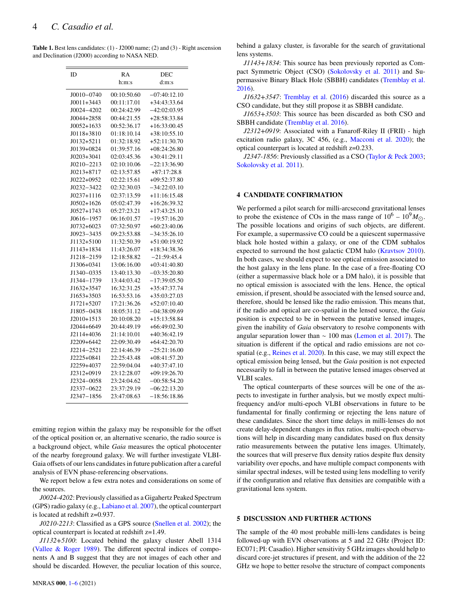<span id="page-3-1"></span>**Table 1.** Best lens candidates: (1) - J2000 name; (2) and (3) - Right ascension and Declination (J2000) according to NASA NED.

| ID             | RA          | DEC            |
|----------------|-------------|----------------|
|                | h:m:s       | d:m:s          |
| $J0010 - 0740$ | 00:10:50.60 | $-07:40:12.10$ |
| $J0011+3443$   | 00:11:17.01 | $+34:43:33.64$ |
| J0024-4202     | 00:24:42.99 | $-42:02:03.95$ |
| $J0044 + 2858$ | 00:44:21.55 | $+28:58:33.84$ |
| $J0052+1633$   | 00:52:36.17 | $+16:33:00.45$ |
| $J0118 + 3810$ | 01:18:10.14 | $+38:10:55.10$ |
| $J0132+5211$   | 01:32:18.92 | $+52:11:30.70$ |
| J0139+0824     | 01:39:57.16 | $+08:24:26.80$ |
| $J0203+3041$   | 02:03:45.36 | $+30:41:29.11$ |
| $J0210 - 2213$ | 02:10:10.06 | $-22:13:36.90$ |
| J0213+8717     | 02:13:57.85 | $+87:17:28.8$  |
| J0222+0952     | 02:22:15.61 | $+09:52:37.80$ |
| J0232-3422     | 02:32:30.03 | $-34:22:03.10$ |
| $J0237+1116$   | 02:37:13.59 | $+11:16:15.48$ |
| $J0502+1626$   | 05:02:47.39 | $+16:26:39.32$ |
| J0527+1743     | 05:27:23.21 | $+17:43:25.10$ |
| J0616-1957     | 06:16:01.57 | $-19:57:16.20$ |
| $J0732+6023$   | 07:32:50.97 | $+60:23:40.06$ |
| $J0923 - 3435$ | 09:23:53.88 | $-34:35:26.10$ |
| J1132+5100     | 11:32:50.39 | $+51:00:19.92$ |
| J1143+1834     | 11:43:26.07 | $+18:34:38.36$ |
| J1218-2159     | 12:18:58.82 | $-21:59:45.4$  |
| J1306+0341     | 13:06:16.00 | $+03:41:40.80$ |
| J1340-0335     | 13:40:13.30 | $-03:35:20.80$ |
| J1344-1739     | 13:44:03.42 | $-17:39:05.50$ |
| J1632+3547     | 16:32:31.25 | +35:47:37.74   |
| J1653+3503     | 16:53:53.16 | $+35:03:27.03$ |
| J1721+5207     | 17:21:36.26 | $+52:07:10.40$ |
| J1805-0438     | 18:05:31.12 | $-04:38:09.69$ |
| $J2010+1513$   | 20:10:08.20 | $+15:13:58.84$ |
| J2044+6649     | 20:44:49.19 | $+66:49:02.30$ |
| J2114+4036     | 21:14:10.01 | +40:36:42.19   |
| J2209+6442     | 22:09:30.49 | $+64:42:20.70$ |
| J2214-2521     | 22:14:46.39 | $-25:21:16.00$ |
| J2225+0841     | 22:25:43.48 | $+08:41:57.20$ |
| J2259+4037     | 22:59:04.04 | $+40:37:47.10$ |
| J2312+0919     | 23:12:28.07 | $+09:19:26.70$ |
| J2324-0058     | 23:24:04.62 | $-00:58:54.20$ |
| J2337-0622     | 23:37:29.19 | $-06:22:13.20$ |
| $J2347 - 1856$ | 23:47:08.63 | $-18:56:18.86$ |

emitting region within the galaxy may be responsible for the offset of the optical position or, an alternative scenario, the radio source is a background object, while *Gaia* measures the optical photocenter of the nearby foreground galaxy. We will further investigate VLBI-Gaia offsets of our lens candidates in future publication after a careful analysis of EVN phase-referencing observations.

We report below a few extra notes and considerations on some of the sources.

*J0024-4202*: Previously classified as a Gigahertz Peaked Spectrum (GPS) radio galaxy (e.g., [Labiano et al.](#page-4-21) [2007\)](#page-4-21), the optical counterpart is located at redshift z=0.937.

*J0210-2213*: Classified as a GPS source [\(Snellen et al.](#page-4-22) [2002\)](#page-4-22); the optical counterpart is located at redshift z=1.49.

*J1132+5100*: Located behind the galaxy cluster Abell 1314 [\(Vallee & Roger](#page-5-6) [1989\)](#page-5-6). The different spectral indices of components A and B suggest that they are not images of each other and should be discarded. However, the peculiar location of this source,

behind a galaxy cluster, is favorable for the search of gravitational lens systems.

*J1143+1834*: This source has been previously reported as Compact Symmetric Object (CSO) [\(Sokolovsky et al.](#page-4-23) [2011\)](#page-4-23) and Supermassive Binary Black Hole (SBBH) candidates [\(Tremblay et al.](#page-5-7) [2016\)](#page-5-7).

*J1632+3547*: [Tremblay et al.](#page-5-7) [\(2016\)](#page-5-7) discarded this source as a CSO candidate, but they still propose it as SBBH candidate.

*J1653+3503*: This source has been discarded as both CSO and SBBH candidate [\(Tremblay et al.](#page-5-7) [2016\)](#page-5-7).

*J2312+0919*: Associated with a Fanaroff-Riley II (FRII) - high excitation radio galaxy, 3C 456, (e.g., [Macconi et al.](#page-4-24) [2020\)](#page-4-24); the optical counterpart is located at redshift z=0.233.

*J2347-1856*: Previously classified as a CSO [\(Taylor & Peck](#page-4-25) [2003;](#page-4-25) [Sokolovsky et al.](#page-4-23) [2011\)](#page-4-23).

#### **4 CANDIDATE CONFIRMATION**

We performed a pilot search for milli-arcsecond gravitational lenses to probe the existence of COs in the mass range of  $10^6 - 10^9 M_{\odot}$ . The possible locations and origins of such objects, are different. For example, a supermassive CO could be a quiescent supermassive black hole hosted within a galaxy, or one of the CDM subhalos expected to surround the host galactic CDM halo [\(Kravtsov](#page-4-26) [2010\)](#page-4-26). In both cases, we should expect to see optical emission associated to the host galaxy in the lens plane. In the case of a free-floating CO (either a supermassive black hole or a DM halo), it is possible that no optical emission is associated with the lens. Hence, the optical emission, if present, should be associated with the lensed source and, therefore, should be lensed like the radio emission. This means that, if the radio and optical are co-spatial in the lensed source, the *Gaia* position is expected to be in between the putative lensed images, given the inability of *Gaia* observatory to resolve components with angular separation lower than  $\sim 100$  mas [\(Lemon et al.](#page-4-27) [2017\)](#page-4-27). The situation is different if the optical and radio emissions are not cospatial (e.g., [Reines et al.](#page-4-28) [2020\)](#page-4-28). In this case, we may still expect the optical emission being lensed, but the *Gaia* position is not expected necessarily to fall in between the putative lensed images observed at VLBI scales.

The optical counterparts of these sources will be one of the aspects to investigate in further analysis, but we mostly expect multifrequency and/or multi-epoch VLBI observations in future to be fundamental for finally confirming or rejecting the lens nature of these candidates. Since the short time delays in milli-lenses do not create delay-dependent changes in flux ratios, multi-epoch observations will help in discarding many candidates based on flux density ratio measurements between the putative lens images. Ultimately, the sources that will preserve flux density ratios despite flux density variability over epochs, and have multiple compact components with similar spectral indexes, will be tested using lens modelling to verify if the configuration and relative flux densities are compatible with a gravitational lens system.

#### <span id="page-3-0"></span>**5 DISCUSSION AND FURTHER ACTIONS**

The sample of the 40 most probable milli-lens candidates is being followed-up with EVN observations at 5 and 22 GHz (Project ID: EC071; PI: Casadio). Higher sensitivity 5 GHz images should help to discard core-jet structures if present, and with the addition of the 22 GHz we hope to better resolve the structure of compact components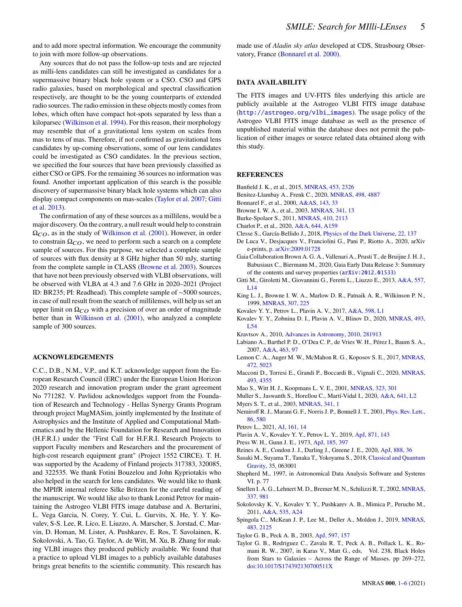and to add more spectral information. We encourage the community to join with more follow-up observations.

Any sources that do not pass the follow-up tests and are rejected as milli-lens candidates can still be investigated as candidates for a supermassive binary black hole system or a CSO. CSO and GPS radio galaxies, based on morphological and spectral classification respectively, are thought to be the young counterparts of extended radio sources. The radio emission in these objects mostly comes from lobes, which often have compact hot-spots separated by less than a kiloparsec [\(Wilkinson et al.](#page-5-8) [1994\)](#page-5-8). For this reason, their morphology may resemble that of a gravitational lens system on scales from mas to tens of mas. Therefore, if not confirmed as gravitational lens candidates by up-coming observations, some of our lens candidates could be investigated as CSO candidates. In the previous section, we specified the four sources that have been previously classified as either CSO or GPS. For the remaining 36 sources no information was found. Another important application of this search is the possible discovery of supermassive binary black hole systems which can also display compact components on mas-scales [\(Taylor et al.](#page-4-29) [2007;](#page-4-29) [Gitti](#page-4-30) [et al.](#page-4-30) [2013\)](#page-4-30).

The confirmation of any of these sources as a millilens, would be a major discovery. On the contrary, a null result would help to constrain  $\Omega_{CO}$ , as in the study of [Wilkinson et al.](#page-5-4) [\(2001\)](#page-5-4). However, in order to constrain  $\Omega_{CO}$ , we need to perform such a search on a complete sample of sources. For this purpose, we selected a complete sample of sources with flux density at 8 GHz higher than 50 mJy, starting from the complete sample in CLASS [\(Browne et al.](#page-4-2) [2003\)](#page-4-2). Sources that have not been previously observed with VLBI observations, will be observed with VLBA at 4.3 and 7.6 GHz in 2020–2021 (Project ID: BR235; PI: Readhead). This complete sample of ∼5000 sources, in case of null result from the search of millilenses, will help us set an upper limit on  $\Omega_{CO}$  with a precision of over an order of magnitude better than in [Wilkinson et al.](#page-5-4) [\(2001\)](#page-5-4), who analyzed a complete sample of 300 sources.

#### **ACKNOWLEDGEMENTS**

C.C., D.B., N.M., V.P., and K.T. acknowledge support from the European Research Council (ERC) under the European Union Horizon 2020 research and innovation program under the grant agreement No 771282. V. Pavlidou acknowledges support from the Foundation of Research and Technology - Hellas Synergy Grants Program through project MagMASim, jointly implemented by the Institute of Astrophysics and the Institute of Applied and Computational Mathematics and by the Hellenic Foundation for Research and Innovation (H.F.R.I.) under the "First Call for H.F.R.I. Research Projects to support Faculty members and Researchers and the procurement of high-cost research equipment grant" (Project 1552 CIRCE). T. H. was supported by the Academy of Finland projects 317383, 320085, and 322535. We thank Fotini Bouzelou and John Kypriotakis who also helped in the search for lens candidates. We would like to thank the MPIfR internal referee Silke Britzen for the careful reading of the manuscript. We would like also to thank Leonid Petrov for maintaining the Astrogeo VLBI FITS image database and A. Bertarini, L. Vega Garcia, N. Corey, Y. Cui, L. Gurvits, X. He, Y. Y. Kovalev, S-S. Lee, R. Lico, E. Liuzzo, A. Marscher, S. Jorstad, C. Marvin, D. Homan, M. Lister, A. Pushkarev, E. Ros, T. Savolainen, K. Sokolovski, A. Tao, G. Taylor, A. de Witt, M. Xu, B. Zhang for making VLBI images they produced publicly available. We found that a practice to upload VLBI images to a publicly available databases brings great benefits to the scientific community. This research has

made use of *Aladin sky atlas* developed at CDS, Strasbourg Observatory, France [\(Bonnarel et al.](#page-4-31) [2000\)](#page-4-31).

#### **DATA AVAILABILITY**

The FITS images and UV-FITS files underlying this article are publicly available at the Astrogeo VLBI FITS image database ([http://astrogeo.org/vlbi\\_images](http://astrogeo.org/vlbi_images)). The usage policy of the Astrogeo VLBI FITS image database as well as the presence of unpublished material within the database does not permit the publication of either images or source related data obtained along with this study.

#### **REFERENCES**

- <span id="page-4-13"></span>Banfield J. K., et al., 2015, [MNRAS,](http://dx.doi.org/10.1093/mnras/stv1688) [453, 2326](https://ui.adsabs.harvard.edu/abs/2015MNRAS.453.2326B)
- <span id="page-4-0"></span>Benitez-Llambay A., Frenk C., 2020, [MNRAS,](http://dx.doi.org/10.1093/mnras/staa2698) [498, 4887](https://ui.adsabs.harvard.edu/abs/2020MNRAS.498.4887B)
- <span id="page-4-31"></span>Bonnarel F., et al., 2000, [A&AS,](http://dx.doi.org/10.1051/aas:2000331) [143, 33](https://ui.adsabs.harvard.edu/abs/2000A&AS..143...33B)
- <span id="page-4-2"></span>Browne I. W. A., et al., 2003, [MNRAS,](http://dx.doi.org/10.1046/j.1365-8711.2003.06257.x) [341, 13](https://ui.adsabs.harvard.edu/abs/2003MNRAS.341...13B)
- <span id="page-4-11"></span>Burke-Spolaor S., 2011, [MNRAS,](http://dx.doi.org/10.1111/j.1365-2966.2010.17586.x) [410, 2113](https://ui.adsabs.harvard.edu/abs/2011MNRAS.410.2113B)
- <span id="page-4-20"></span>Charlot P., et al., 2020, [A&A,](http://dx.doi.org/10.1051/0004-6361/202038368) [644, A159](https://ui.adsabs.harvard.edu/abs/2020A&A...644A.159C)
- <span id="page-4-9"></span>Clesse S., García-Bellido J., 2018, [Physics of the Dark Universe,](http://dx.doi.org/10.1016/j.dark.2018.08.004) [22, 137](https://ui.adsabs.harvard.edu/abs/2018PDU....22..137C)
- <span id="page-4-8"></span>De Luca V., Desjacques V., Franciolini G., Pani P., Riotto A., 2020, arXiv e-prints, [p. arXiv:2009.01728](https://ui.adsabs.harvard.edu/abs/2020arXiv200901728D)
- <span id="page-4-19"></span>Gaia Collaboration Brown A. G. A., Vallenari A., Prusti T., de Bruijne J. H. J., Babusiaux C., Biermann M., 2020, Gaia Early Data Release 3: Summary of the contents and survey properties ([arXiv:2012.01533](http://arxiv.org/abs/2012.01533))
- <span id="page-4-30"></span>Gitti M., Giroletti M., Giovannini G., Feretti L., Liuzzo E., 2013, [A&A,](http://dx.doi.org/10.1051/0004-6361/201322401) [557,](https://ui.adsabs.harvard.edu/abs/2013A&A...557L..14G) [L14](https://ui.adsabs.harvard.edu/abs/2013A&A...557L..14G)
- <span id="page-4-3"></span>King L. J., Browne I. W. A., Marlow D. R., Patnaik A. R., Wilkinson P. N., 1999, [MNRAS,](http://dx.doi.org/10.1046/j.1365-8711.1999.02328.x) [307, 225](https://ui.adsabs.harvard.edu/abs/1999MNRAS.307..225K)
- <span id="page-4-17"></span>Kovalev Y. Y., Petrov L., Plavin A. V., 2017, [A&A,](http://dx.doi.org/10.1051/0004-6361/201630031) [598, L1](https://ui.adsabs.harvard.edu/abs/2017A&A...598L...1K)
- <span id="page-4-16"></span>Kovalev Y. Y., Zobnina D. I., Plavin A. V., Blinov D., 2020, [MNRAS,](http://dx.doi.org/10.1093/mnrasl/slaa008) [493,](https://ui.adsabs.harvard.edu/abs/2020MNRAS.493L..54K) [L54](https://ui.adsabs.harvard.edu/abs/2020MNRAS.493L..54K)
- <span id="page-4-26"></span>Kravtsov A., 2010, [Advances in Astronomy,](http://dx.doi.org/10.1155/2010/281913) [2010, 281913](https://ui.adsabs.harvard.edu/abs/2010AdAst2010E...8K)
- <span id="page-4-21"></span>Labiano A., Barthel P. D., O'Dea C. P., de Vries W. H., Pérez I., Baum S. A., 2007, [A&A,](http://dx.doi.org/10.1051/0004-6361:20066183) [463, 97](https://ui.adsabs.harvard.edu/abs/2007A&A...463...97L)
- <span id="page-4-27"></span>Lemon C. A., Auger M. W., McMahon R. G., Koposov S. E., 2017, [MNRAS,](http://dx.doi.org/10.1093/mnras/stx2094) [472, 5023](https://ui.adsabs.harvard.edu/abs/2017MNRAS.472.5023L)
- <span id="page-4-24"></span>Macconi D., Torresi E., Grandi P., Boccardi B., Vignali C., 2020, [MNRAS,](http://dx.doi.org/10.1093/mnras/staa560) [493, 4355](https://ui.adsabs.harvard.edu/abs/2020MNRAS.493.4355M)
- <span id="page-4-4"></span>Mao S., Witt H. J., Koopmans L. V. E., 2001, [MNRAS,](http://dx.doi.org/10.1046/j.1365-8711.2001.04143.x) [323, 301](https://ui.adsabs.harvard.edu/abs/2001MNRAS.323..301M)
- <span id="page-4-5"></span>Muller S., Jaswanth S., Horellou C., Martí-Vidal I., 2020, [A&A,](http://dx.doi.org/10.1051/0004-6361/202038978) [641, L2](https://ui.adsabs.harvard.edu/abs/2020A&A...641L...2M)
- <span id="page-4-1"></span>Myers S. T., et al., 2003, [MNRAS,](http://dx.doi.org/10.1046/j.1365-8711.2003.06256.x) [341, 1](https://ui.adsabs.harvard.edu/abs/2003MNRAS.341....1M)
- <span id="page-4-14"></span>Nemiroff R. J., Marani G. F., Norris J. P., Bonnell J. T., 2001, [Phys. Rev. Lett.,](http://dx.doi.org/10.1103/PhysRevLett.86.580) [86, 580](https://ui.adsabs.harvard.edu/abs/2001PhRvL..86..580N)
- <span id="page-4-12"></span>Petrov L., 2021, [AJ,](http://dx.doi.org/10.3847/1538-3881/abc4e1) [161, 14](https://ui.adsabs.harvard.edu/abs/2021AJ....161...14P)
- <span id="page-4-18"></span>Plavin A. V., Kovalev Y. Y., Petrov L. Y., 2019, [ApJ,](http://dx.doi.org/10.3847/1538-4357/aaf650) [871, 143](https://ui.adsabs.harvard.edu/abs/2019ApJ...871..143P)
- <span id="page-4-6"></span>Press W. H., Gunn J. E., 1973, [ApJ,](http://dx.doi.org/10.1086/152430) [185, 397](https://ui.adsabs.harvard.edu/abs/1973ApJ...185..397P)
- <span id="page-4-28"></span>Reines A. E., Condon J. J., Darling J., Greene J. E., 2020, [ApJ,](http://dx.doi.org/10.3847/1538-4357/ab4999) [888, 36](https://ui.adsabs.harvard.edu/abs/2020ApJ...888...36R)
- <span id="page-4-10"></span>Sasaki M., Suyama T., Tanaka T., Yokoyama S., 2018, [Classical and Quantum](http://dx.doi.org/10.1088/1361-6382/aaa7b4) [Gravity,](http://dx.doi.org/10.1088/1361-6382/aaa7b4) 35, 063001
- <span id="page-4-15"></span>Shepherd M., 1997, in Astronomical Data Analysis Software and Systems VI. p. 77
- <span id="page-4-22"></span>Snellen I. A. G., Lehnert M. D., Bremer M. N., Schilizzi R. T., 2002, [MNRAS,](http://dx.doi.org/10.1046/j.1365-8711.2002.05978.x) [337, 981](https://ui.adsabs.harvard.edu/abs/2002MNRAS.337..981S)
- <span id="page-4-23"></span>Sokolovsky K. V., Kovalev Y. Y., Pushkarev A. B., Mimica P., Perucho M., 2011, [A&A,](http://dx.doi.org/10.1051/0004-6361/201015772) [535, A24](https://ui.adsabs.harvard.edu/abs/2011A&A...535A..24S)
- <span id="page-4-7"></span>Spingola C., McKean J. P., Lee M., Deller A., Moldon J., 2019, [MNRAS,](http://dx.doi.org/10.1093/mnras/sty3189) [483, 2125](https://ui.adsabs.harvard.edu/abs/2019MNRAS.483.2125S)
- <span id="page-4-25"></span>Taylor G. B., Peck A. B., 2003, [ApJ,](http://dx.doi.org/10.1086/378267) [597, 157](https://ui.adsabs.harvard.edu/abs/2003ApJ...597..157T)
- <span id="page-4-29"></span>Taylor G. B., Rodriguez C., Zavala R. T., Peck A. B., Pollack L. K., Romani R. W., 2007, in Karas V., Matt G., eds, Vol. 238, Black Holes from Stars to Galaxies – Across the Range of Masses. pp 269–272, [doi:10.1017/S174392130700511X](http://dx.doi.org/10.1017/S174392130700511X)